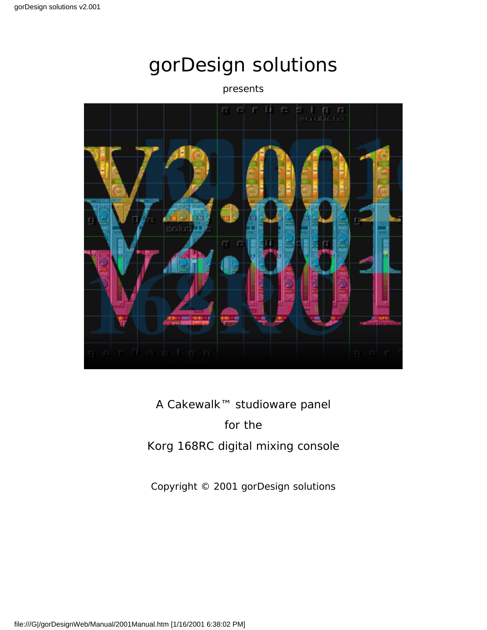#### presents



### A Cakewalk™ studioware panel

#### for the

### Korg 168RC digital mixing console

Copyright © 2001 gorDesign solutions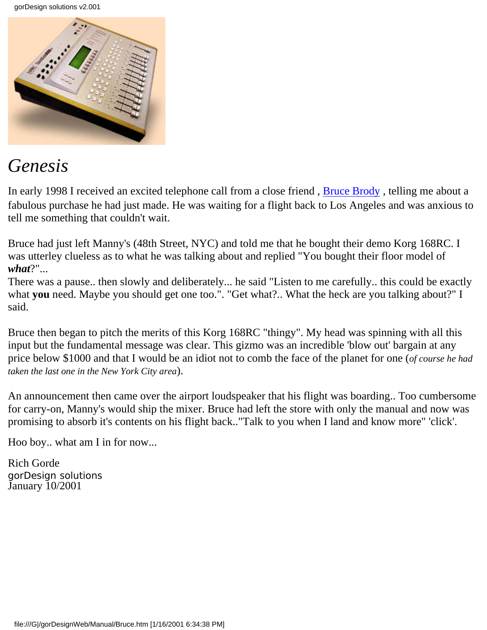

# *Genesis*

In early 1998 I received an excited telephone call from a close friend, **Bruce Brody**, telling me about a fabulous purchase he had just made. He was waiting for a flight back to Los Angeles and was anxious to tell me something that couldn't wait.

Bruce had just left Manny's (48th Street, NYC) and told me that he bought their demo Korg 168RC. I was utterley clueless as to what he was talking about and replied "You bought their floor model of *what*?"...

There was a pause.. then slowly and deliberately... he said "Listen to me carefully.. this could be exactly what **you** need. Maybe you should get one too.". "Get what?.. What the heck are you talking about?" I said.

Bruce then began to pitch the merits of this Korg 168RC "thingy". My head was spinning with all this input but the fundamental message was clear. This gizmo was an incredible 'blow out' bargain at any price below \$1000 and that I would be an idiot not to comb the face of the planet for one (*of course he had taken the last one in the New York City area*).

An announcement then came over the airport loudspeaker that his flight was boarding.. Too cumbersome for carry-on, Manny's would ship the mixer. Bruce had left the store with only the manual and now was promising to absorb it's contents on his flight back.."Talk to you when I land and know more" 'click'.

Hoo boy.. what am I in for now...

Rich Gorde gorDesign solutions January 10/2001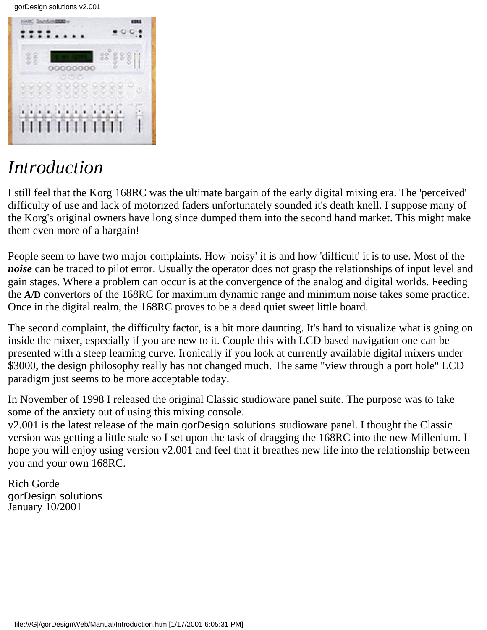

# *Introduction*

I still feel that the Korg 168RC was the ultimate bargain of the early digital mixing era. The 'perceived' difficulty of use and lack of motorized faders unfortunately sounded it's death knell. I suppose many of the Korg's original owners have long since dumped them into the second hand market. This might make them even more of a bargain!

People seem to have two major complaints. How 'noisy' it is and how 'difficult' it is to use. Most of the *noise* can be traced to pilot error. Usually the operator does not grasp the relationships of input level and gain stages. Where a problem can occur is at the convergence of the analog and digital worlds. Feeding the **A/D** convertors of the 168RC for maximum dynamic range and minimum noise takes some practice. Once in the digital realm, the 168RC proves to be a dead quiet sweet little board.

The second complaint, the difficulty factor, is a bit more daunting. It's hard to visualize what is going on inside the mixer, especially if you are new to it. Couple this with LCD based navigation one can be presented with a steep learning curve. Ironically if you look at currently available digital mixers under \$3000, the design philosophy really has not changed much. The same "view through a port hole" LCD paradigm just seems to be more acceptable today.

In November of 1998 I released the original Classic studioware panel suite. The purpose was to take some of the anxiety out of using this mixing console.

v2.001 is the latest release of the main gorDesign solutions studioware panel. I thought the Classic version was getting a little stale so I set upon the task of dragging the 168RC into the new Millenium. I hope you will enjoy using version v2.001 and feel that it breathes new life into the relationship between you and your own 168RC.

Rich Gorde gorDesign solutions January 10/2001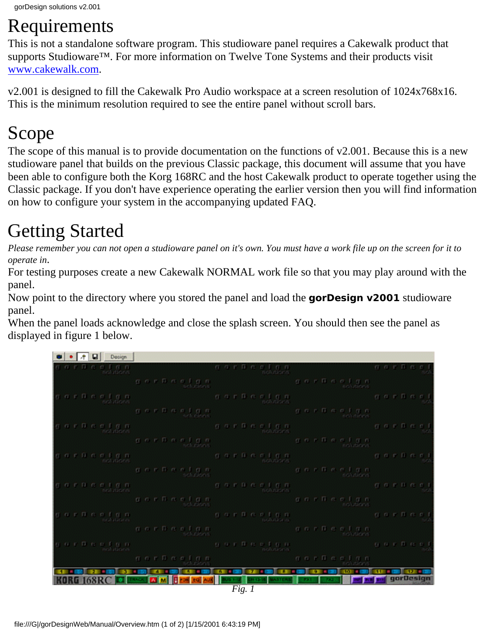# Requirements

This is not a standalone software program. This studioware panel requires a Cakewalk product that supports Studioware<sup>™</sup>. For more information on Twelve Tone Systems and their products visit [www.cakewalk.com](http://www.cakewalk.com/).

v2.001 is designed to fill the Cakewalk Pro Audio workspace at a screen resolution of 1024x768x16. This is the minimum resolution required to see the entire panel without scroll bars.

# Scope

The scope of this manual is to provide documentation on the functions of v2.001. Because this is a new studioware panel that builds on the previous Classic package, this document will assume that you have been able to configure both the Korg 168RC and the host Cakewalk product to operate together using the Classic package. If you don't have experience operating the earlier version then you will find information on how to configure your system in the accompanying updated FAQ.

# Getting Started

*Please remember you can not open a studioware panel on it's own. You must have a work file up on the screen for it to operate in*.

For testing purposes create a new Cakewalk NORMAL work file so that you may play around with the panel.

Now point to the directory where you stored the panel and load the **gorDesign v2001** studioware panel.

When the panel loads acknowledge and close the splash screen. You should then see the panel as displayed in figure 1 below.

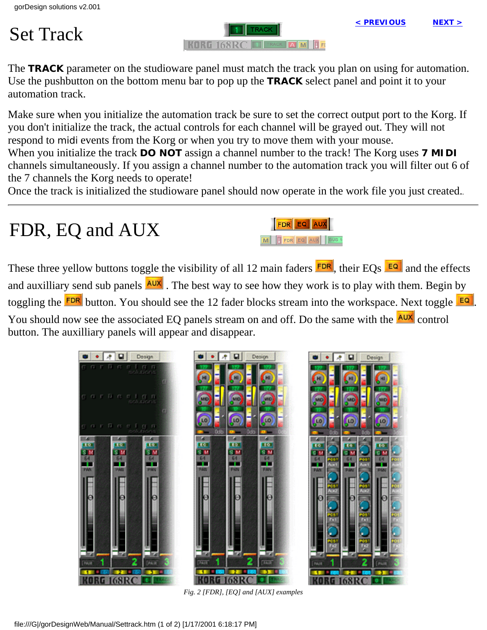# Set Track

RACK **A** M **I** FD **KORG 168RC ILLE** 

The **TRACK** parameter on the studioware panel must match the track you plan on using for automation. Use the pushbutton on the bottom menu bar to pop up the **TRACK** select panel and point it to your automation track.

Make sure when you initialize the automation track be sure to set the correct output port to the Korg. If you don't initialize the track, the actual controls for each channel will be grayed out. They will not respond to midi events from the Korg or when you try to move them with your mouse.

When you initialize the track **DO NOT** assign a channel number to the track! The Korg uses **7 MIDI** channels simultaneously. If you assign a channel number to the automation track you will filter out 6 of the 7 channels the Korg needs to operate!

Once the track is initialized the studioware panel should now operate in the work file you just created.*.*

FDR EQ AUX

M FDR EQ AUX BUS 1

# FDR, EQ and AUX

These three yellow buttons toggle the visibility of all 12 main faders  $FDR$ , their EQs  $FQR$  and the effects and auxilliary send sub panels **AUX**. The best way to see how they work is to play with them. Begin by toggling the **FDR** button. You should see the 12 fader blocks stream into the workspace. Next toggle **EQ**. You should now see the associated EQ panels stream on and off. Do the same with the **AUX** control button. The auxilliary panels will appear and disappear.



*Fig. 2 [FDR], [EQ] and [AUX] examples*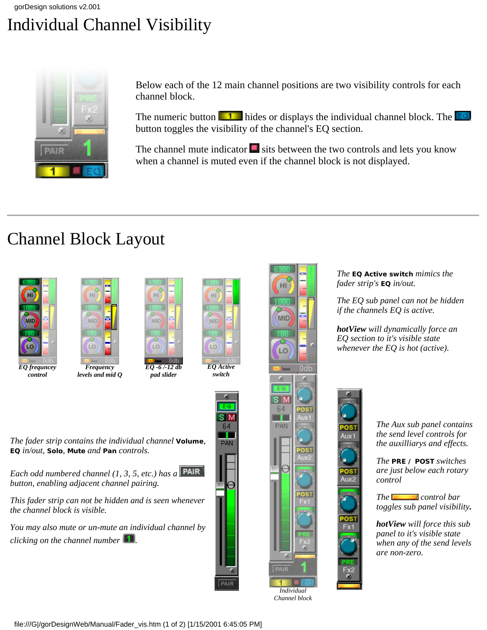# Individual Channel Visibility



Below each of the 12 main channel positions are two visibility controls for each channel block.

The numeric button  $\boxed{1}$  hides or displays the individual channel block. The  $\boxed{50}$ button toggles the visibility of the channel's EQ section.

The channel mute indicator  $\blacksquare$  sits between the two controls and lets you know when a channel is muted even if the channel block is not displayed.

# Channel Block Layout





*The* **EQ Active switch** *mimics the fader strip's* **EQ** *in/out.*

*The EQ sub panel can not be hidden if the channels EQ is active.*

*hotView will dynamically force an EQ section to it's visible state whenever the EQ is hot (active).*



*Individual Channel block*

*The Aux sub panel contains the send level controls for the auxilliarys and effects.*

*The* **PRE / POST** *switches are just below each rotary control*

*The control bar toggles sub panel visibility.*

*hotView will force this sub panel to it's visible state when any of the send levels are non-zero.*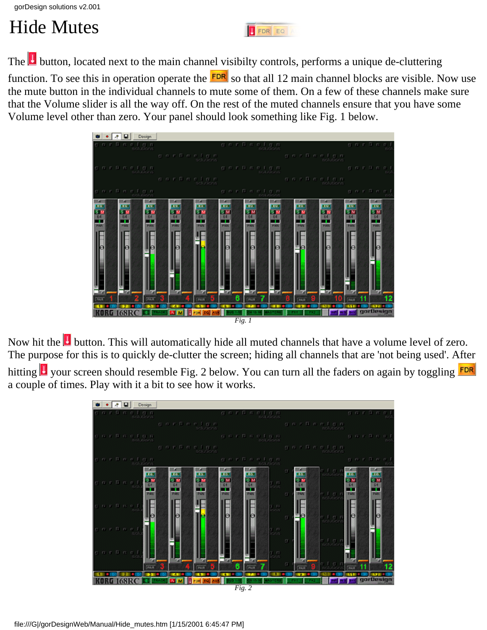# Hide Mutes

The **b**utton, located next to the main channel visibilty controls, performs a unique de-cluttering

function. To see this in operation operate the  $R^{\text{DR}}$  so that all 12 main channel blocks are visible. Now use the mute button in the individual channels to mute some of them. On a few of these channels make sure that the Volume slider is all the way off. On the rest of the muted channels ensure that you have some Volume level other than zero. Your panel should look something like Fig. 1 below.

FDR EQ



Now hit the **U** button. This will automatically hide all muted channels that have a volume level of zero. The purpose for this is to quickly de-clutter the screen; hiding all channels that are 'not being used'. After

hitting  $\Box$  your screen should resemble Fig. 2 below. You can turn all the faders on again by toggling **FDR** a couple of times. Play with it a bit to see how it works.

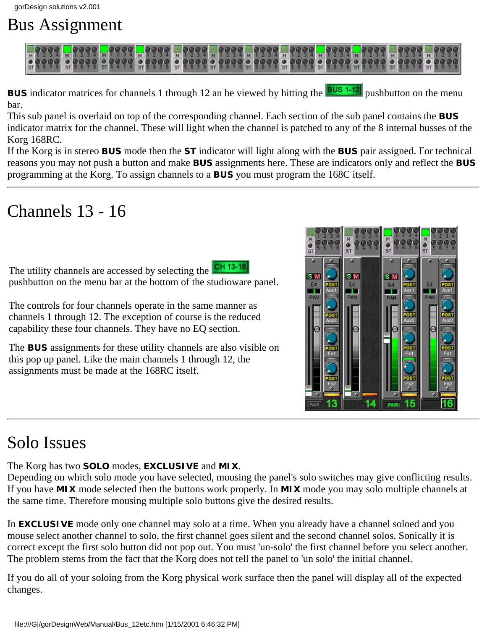# Bus Assignment



**BUS** indicator matrices for channels 1 through 12 an be viewed by hitting the **BUS** 1-12 pushbutton on the menu bar.

This sub panel is overlaid on top of the corresponding channel. Each section of the sub panel contains the **BUS** indicator matrix for the channel. These will light when the channel is patched to any of the 8 internal busses of the Korg 168RC.

If the Korg is in stereo **BUS** mode then the **ST** indicator will light along with the **BUS** pair assigned. For technical reasons you may not push a button and make **BUS** assignments here. These are indicators only and reflect the **BUS** programming at the Korg. To assign channels to a **BUS** you must program the 168C itself.

# Channels 13 - 16

The utility channels are accessed by selecting the CH 13-16 pushbutton on the menu bar at the bottom of the studioware panel.

The controls for four channels operate in the same manner as channels 1 through 12. The exception of course is the reduced capability these four channels. They have no EQ section.

The **BUS** assignments for these utility channels are also visible on this pop up panel. Like the main channels 1 through 12, the assignments must be made at the 168RC itself.

# Solo Issues

The Korg has two **SOLO** modes, **EXCLUSIVE** and **MIX**.

Depending on which solo mode you have selected, mousing the panel's solo switches may give conflicting results. If you have **MIX** mode selected then the buttons work properly. In **MIX** mode you may solo multiple channels at the same time. Therefore mousing multiple solo buttons give the desired results.

In **EXCLUSIVE** mode only one channel may solo at a time. When you already have a channel soloed and you mouse select another channel to solo, the first channel goes silent and the second channel solos. Sonically it is correct except the first solo button did not pop out. You must 'un-solo' the first channel before you select another. The problem stems from the fact that the Korg does not tell the panel to 'un solo' the initial channel.

If you do all of your soloing from the Korg physical work surface then the panel will display all of the expected changes.

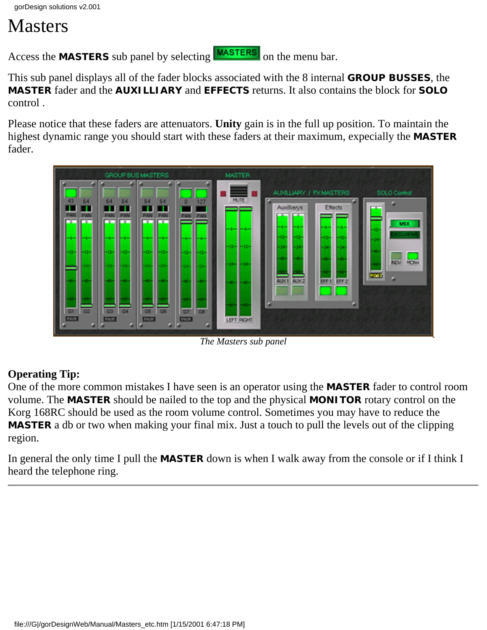# Masters

Access the **MASTERS** sub panel by selecting **MASTERS** on the menu bar.

This sub panel displays all of the fader blocks associated with the 8 internal **GROUP BUSSES**, the **MASTER** fader and the **AUXILLIARY** and **EFFECTS** returns. It also contains the block for **SOLO** control .

Please notice that these faders are attenuators. **Unity** gain is in the full up position. To maintain the highest dynamic range you should start with these faders at their maximum, expecially the **MASTER** fader.



*The Masters sub panel*

### **Operating Tip:**

One of the more common mistakes I have seen is an operator using the **MASTER** fader to control room volume. The **MASTER** should be nailed to the top and the physical **MONITOR** rotary control on the Korg 168RC should be used as the room volume control. Sometimes you may have to reduce the **MASTER** a db or two when making your final mix. Just a touch to pull the levels out of the clipping region.

In general the only time I pull the **MASTER** down is when I walk away from the console or if I think I heard the telephone ring.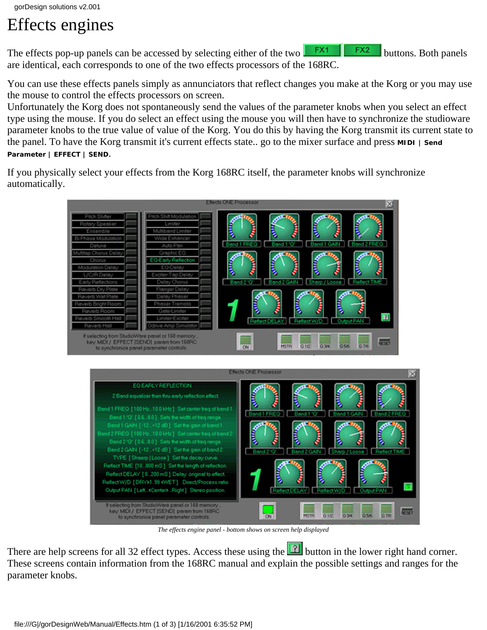# Effects engines

The effects pop-up panels can be accessed by selecting either of the two buttons. Both panels are identical, each corresponds to one of the two effects processors of the 168RC.

You can use these effects panels simply as annunciators that reflect changes you make at the Korg or you may use the mouse to control the effects processors on screen.

Unfortunately the Korg does not spontaneously send the values of the parameter knobs when you select an effect type using the mouse. If you do select an effect using the mouse you will then have to synchronize the studioware parameter knobs to the true value of value of the Korg. You do this by having the Korg transmit its current state to the panel. To have the Korg transmit it's current effects state.. go to the mixer surface and press **MIDI | Send Parameter | EFFECT | SEND**.

If you physically select your effects from the Korg 168RC itself, the parameter knobs will synchronize automatically.



*The effects engine panel - bottom shows on screen help displayed*

There are help screens for all 32 effect types. Access these using the **1** button in the lower right hand corner. These screens contain information from the 168RC manual and explain the possible settings and ranges for the parameter knobs.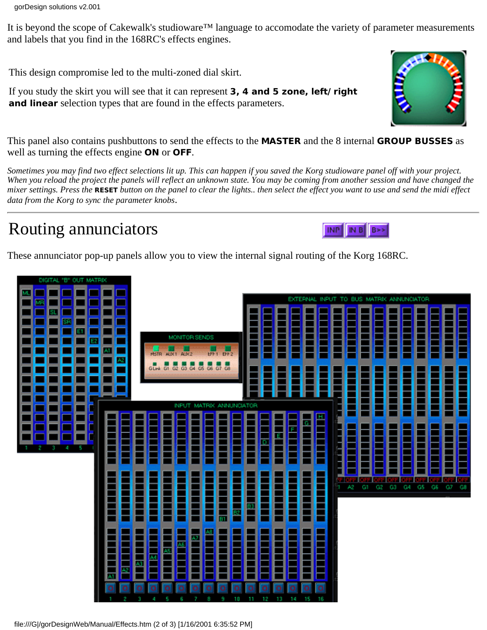It is beyond the scope of Cakewalk's studioware™ language to accomodate the variety of parameter measurements and labels that you find in the 168RC's effects engines.

This design compromise led to the multi-zoned dial skirt.

If you study the skirt you will see that it can represent **3, 4 and 5 zone, left/right and linear** selection types that are found in the effects parameters.



*Sometimes you may find two effect selections lit up. This can happen if you saved the Korg studioware panel off with your project. When you reload the project the panels will reflect an unknown state. You may be coming from another session and have changed the mixer settings. Press the* **RESET** *button on the panel to clear the lights.. then select the effect you want to use and send the midi effect data from the Korg to sync the parameter knobs*.

# Routing annunciators

These annunciator pop-up panels allow you to view the internal signal routing of the Korg 168RC.



file:///G|/gorDesignWeb/Manual/Effects.htm (2 of 3) [1/16/2001 6:35:52 PM]



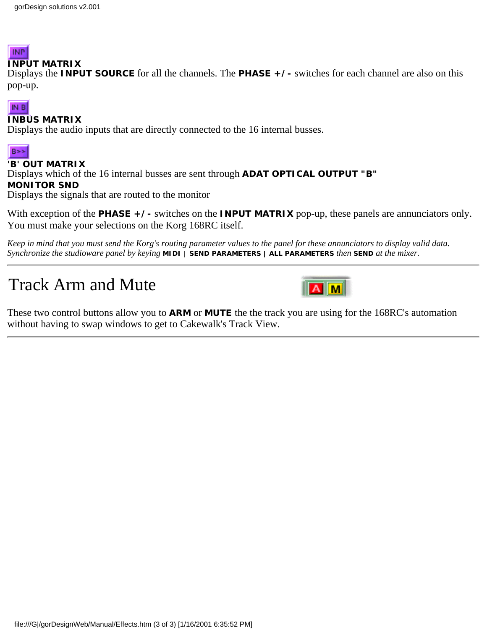## **INP**

#### **INPUT MATRIX**

Displays the **INPUT SOURCE** for all the channels. The **PHASE +/-** switches for each channel are also on this pop-up.

#### IN B

#### **INBUS MATRIX**

Displays the audio inputs that are directly connected to the 16 internal busses.



#### **'B' OUT MATRIX**

Displays which of the 16 internal busses are sent through **ADAT OPTICAL OUTPUT "B"**

#### **MONITOR SND**

Displays the signals that are routed to the monitor

With exception of the **PHASE** + /- switches on the **INPUT MATRIX** pop-up, these panels are annunciators only. You must make your selections on the Korg 168RC itself.

*Keep in mind that you must send the Korg's routing parameter values to the panel for these annunciators to display valid data. Synchronize the studioware panel by keying* **MIDI | SEND PARAMETERS | ALL PARAMETERS** *then* **SEND** *at the mixer.*

# Track Arm and Mute



These two control buttons allow you to **ARM** or **MUTE** the the track you are using for the 168RC's automation without having to swap windows to get to Cakewalk's Track View.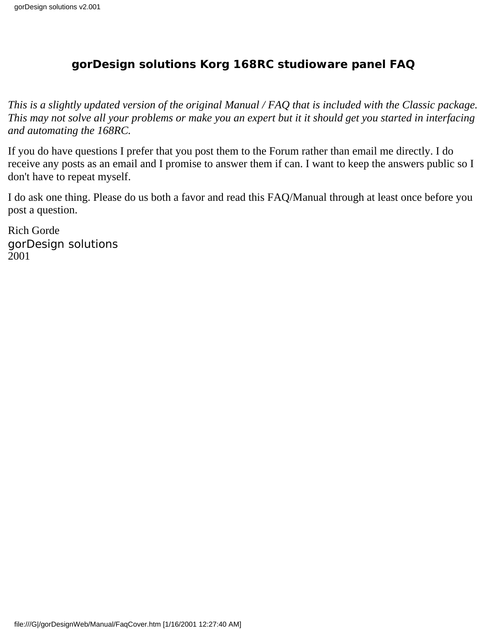### **gorDesign solutions Korg 168RC studioware panel FAQ**

*This is a slightly updated version of the original Manual / FAQ that is included with the Classic package. This may not solve all your problems or make you an expert but it it should get you started in interfacing and automating the 168RC.*

If you do have questions I prefer that you post them to the Forum rather than email me directly. I do receive any posts as an email and I promise to answer them if can. I want to keep the answers public so I don't have to repeat myself.

I do ask one thing. Please do us both a favor and read this FAQ/Manual through at least once before you post a question.

Rich Gorde gorDesign solutions 2001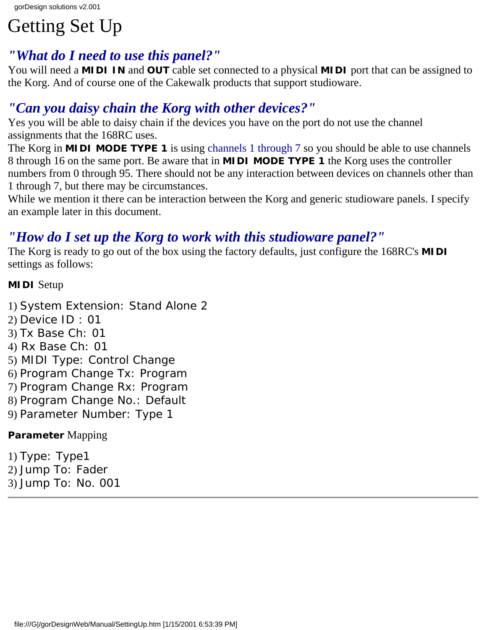# Getting Set Up

### *"What do I need to use this panel?"*

You will need a **MIDI IN** and **OUT** cable set connected to a physical **MIDI** port that can be assigned to the Korg. And of course one of the Cakewalk products that support studioware.

## *"Can you daisy chain the Korg with other devices?"*

Yes you will be able to daisy chain if the devices you have on the port do not use the channel assignments that the 168RC uses.

The Korg in **MIDI MODE TYPE 1** is using channels 1 through 7 so you should be able to use channels 8 through 16 on the same port. Be aware that in **MIDI MODE TYPE 1** the Korg uses the controller numbers from 0 through 95. There should not be any interaction between devices on channels other than 1 through 7, but there may be circumstances.

While we mention it there can be interaction between the Korg and generic studioware panels. I specify an example later in this document.

## *"How do I set up the Korg to work with this studioware panel?"*

The Korg is ready to go out of the box using the factory defaults, just configure the 168RC's **MIDI** settings as follows:

#### **MIDI** Setup

- 1) System Extension: Stand Alone 2
- 2) Device ID : 01
- 3) Tx Base Ch: 01
- 4) Rx Base Ch: 01
- 5) MIDI Type: Control Change
- 6) Program Change Tx: Program
- 7) Program Change Rx: Program
- 8) Program Change No.: Default
- 9) Parameter Number: Type 1

### **Parameter** Mapping

1) Type: Type1 2) Jump To: Fader 3) Jump To: No. 001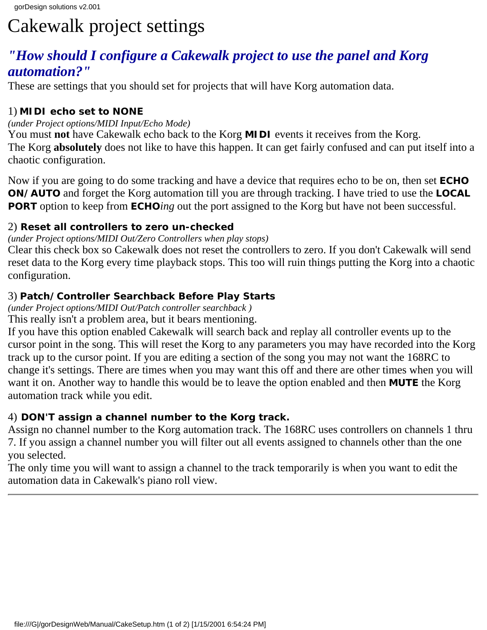# Cakewalk project settings

### *"How should I configure a Cakewalk project to use the panel and Korg automation?"*

These are settings that you should set for projects that will have Korg automation data.

#### 1) **MIDI echo set to NONE**

#### *(under Project options/MIDI Input/Echo Mode)*

You must **not** have Cakewalk echo back to the Korg **MIDI** events it receives from the Korg. The Korg **absolutely** does not like to have this happen. It can get fairly confused and can put itself into a chaotic configuration.

Now if you are going to do some tracking and have a device that requires echo to be on, then set **ECHO ON/AUTO** and forget the Korg automation till you are through tracking. I have tried to use the **LOCAL PORT** option to keep from **ECHO***ing* out the port assigned to the Korg but have not been successful.

#### 2) **Reset all controllers to zero un-checked**

#### *(under Project options/MIDI Out/Zero Controllers when play stops)*

Clear this check box so Cakewalk does not reset the controllers to zero. If you don't Cakewalk will send reset data to the Korg every time playback stops. This too will ruin things putting the Korg into a chaotic configuration.

#### 3) **Patch/Controller Searchback Before Play Starts**

*(under Project options/MIDI Out/Patch controller searchback )*

This really isn't a problem area, but it bears mentioning.

If you have this option enabled Cakewalk will search back and replay all controller events up to the cursor point in the song. This will reset the Korg to any parameters you may have recorded into the Korg track up to the cursor point. If you are editing a section of the song you may not want the 168RC to change it's settings. There are times when you may want this off and there are other times when you will want it on. Another way to handle this would be to leave the option enabled and then **MUTE** the Korg automation track while you edit.

#### 4) **DON'T assign a channel number to the Korg track.**

Assign no channel number to the Korg automation track. The 168RC uses controllers on channels 1 thru 7. If you assign a channel number you will filter out all events assigned to channels other than the one you selected.

The only time you will want to assign a channel to the track temporarily is when you want to edit the automation data in Cakewalk's piano roll view.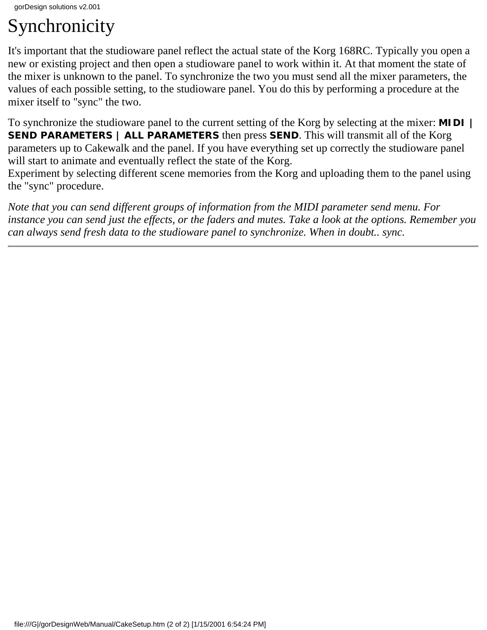# Synchronicity

It's important that the studioware panel reflect the actual state of the Korg 168RC. Typically you open a new or existing project and then open a studioware panel to work within it. At that moment the state of the mixer is unknown to the panel. To synchronize the two you must send all the mixer parameters, the values of each possible setting, to the studioware panel. You do this by performing a procedure at the mixer itself to "sync" the two.

To synchronize the studioware panel to the current setting of the Korg by selecting at the mixer: **MIDI | SEND PARAMETERS | ALL PARAMETERS** then press **SEND**. This will transmit all of the Korg parameters up to Cakewalk and the panel. If you have everything set up correctly the studioware panel will start to animate and eventually reflect the state of the Korg.

Experiment by selecting different scene memories from the Korg and uploading them to the panel using the "sync" procedure.

*Note that you can send different groups of information from the MIDI parameter send menu. For instance you can send just the effects, or the faders and mutes. Take a look at the options. Remember you can always send fresh data to the studioware panel to synchronize. When in doubt.. sync.*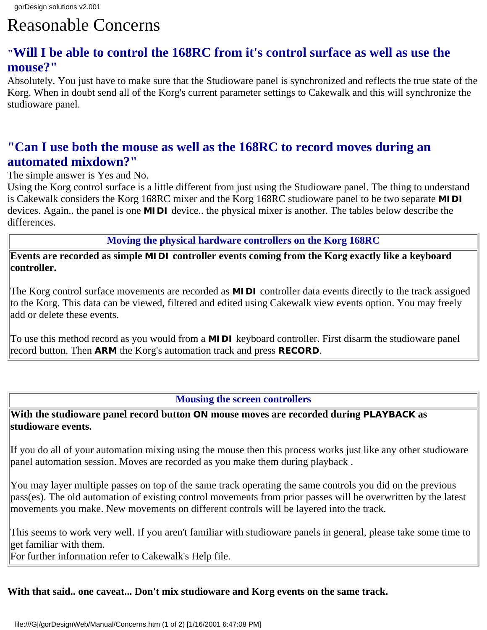# Reasonable Concerns

### **"Will I be able to control the 168RC from it's control surface as well as use the mouse?"**

Absolutely. You just have to make sure that the Studioware panel is synchronized and reflects the true state of the Korg. When in doubt send all of the Korg's current parameter settings to Cakewalk and this will synchronize the studioware panel.

#### **"Can I use both the mouse as well as the 168RC to record moves during an automated mixdown?"**

The simple answer is Yes and No.

Using the Korg control surface is a little different from just using the Studioware panel. The thing to understand is Cakewalk considers the Korg 168RC mixer and the Korg 168RC studioware panel to be two separate **MIDI** devices. Again.. the panel is one **MIDI** device.. the physical mixer is another. The tables below describe the differences.

**Moving the physical hardware controllers on the Korg 168RC**

**Events are recorded as simple MIDI controller events coming from the Korg exactly like a keyboard controller.**

The Korg control surface movements are recorded as **MIDI** controller data events directly to the track assigned to the Korg. This data can be viewed, filtered and edited using Cakewalk view events option. You may freely add or delete these events.

To use this method record as you would from a **MIDI** keyboard controller. First disarm the studioware panel record button. Then **ARM** the Korg's automation track and press **RECORD**.

#### **Mousing the screen controllers**

#### **With the studioware panel record button ON mouse moves are recorded during PLAYBACK as studioware events.**

If you do all of your automation mixing using the mouse then this process works just like any other studioware panel automation session. Moves are recorded as you make them during playback .

You may layer multiple passes on top of the same track operating the same controls you did on the previous pass(es). The old automation of existing control movements from prior passes will be overwritten by the latest movements you make. New movements on different controls will be layered into the track.

This seems to work very well. If you aren't familiar with studioware panels in general, please take some time to get familiar with them.

For further information refer to Cakewalk's Help file.

#### **With that said.. one caveat... Don't mix studioware and Korg events on the same track.**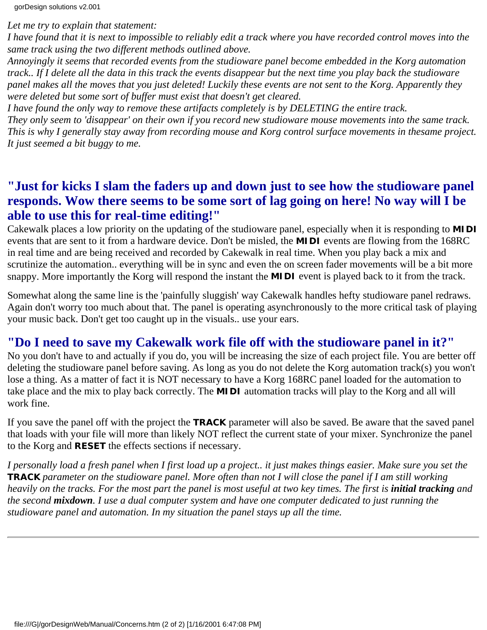*Let me try to explain that statement:*

*I have found that it is next to impossible to reliably edit a track where you have recorded control moves into the same track using the two different methods outlined above.*

*Annoyingly it seems that recorded events from the studioware panel become embedded in the Korg automation track.. If I delete all the data in this track the events disappear but the next time you play back the studioware panel makes all the moves that you just deleted! Luckily these events are not sent to the Korg. Apparently they were deleted but some sort of buffer must exist that doesn't get cleared.*

*I have found the only way to remove these artifacts completely is by DELETING the entire track. They only seem to 'disappear' on their own if you record new studioware mouse movements into the same track. This is why I generally stay away from recording mouse and Korg control surface movements in thesame project. It just seemed a bit buggy to me.*

### **"Just for kicks I slam the faders up and down just to see how the studioware panel responds. Wow there seems to be some sort of lag going on here! No way will I be able to use this for real-time editing!"**

Cakewalk places a low priority on the updating of the studioware panel, especially when it is responding to **MIDI** events that are sent to it from a hardware device. Don't be misled, the **MIDI** events are flowing from the 168RC in real time and are being received and recorded by Cakewalk in real time. When you play back a mix and scrutinize the automation.. everything will be in sync and even the on screen fader movements will be a bit more snappy. More importantly the Korg will respond the instant the **MIDI** event is played back to it from the track.

Somewhat along the same line is the 'painfully sluggish' way Cakewalk handles hefty studioware panel redraws. Again don't worry too much about that. The panel is operating asynchronously to the more critical task of playing your music back. Don't get too caught up in the visuals.. use your ears.

### **"Do I need to save my Cakewalk work file off with the studioware panel in it?"**

No you don't have to and actually if you do, you will be increasing the size of each project file. You are better off deleting the studioware panel before saving. As long as you do not delete the Korg automation track(s) you won't lose a thing. As a matter of fact it is NOT necessary to have a Korg 168RC panel loaded for the automation to take place and the mix to play back correctly. The **MIDI** automation tracks will play to the Korg and all will work fine.

If you save the panel off with the project the **TRACK** parameter will also be saved. Be aware that the saved panel that loads with your file will more than likely NOT reflect the current state of your mixer. Synchronize the panel to the Korg and **RESET** the effects sections if necessary.

*I personally load a fresh panel when I first load up a project.. it just makes things easier. Make sure you set the TRACK parameter on the studioware panel. More often than not I will close the panel if I am still working heavily on the tracks. For the most part the panel is most useful at two key times. The first is <i>initial tracking* and *the second mixdown. I use a dual computer system and have one computer dedicated to just running the studioware panel and automation. In my situation the panel stays up all the time.*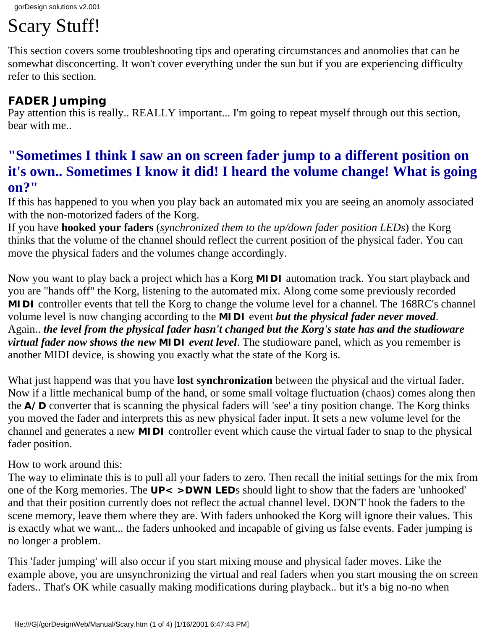# Scary Stuff!

This section covers some troubleshooting tips and operating circumstances and anomolies that can be somewhat disconcerting. It won't cover everything under the sun but if you are experiencing difficulty refer to this section.

### **FADER Jumping**

Pay attention this is really.. REALLY important... I'm going to repeat myself through out this section, bear with me..

## **"Sometimes I think I saw an on screen fader jump to a different position on it's own.. Sometimes I know it did! I heard the volume change! What is going on?"**

If this has happened to you when you play back an automated mix you are seeing an anomoly associated with the non-motorized faders of the Korg.

If you have **hooked your faders** (*synchronized them to the up/down fader position LEDs*) the Korg thinks that the volume of the channel should reflect the current position of the physical fader. You can move the physical faders and the volumes change accordingly.

Now you want to play back a project which has a Korg **MIDI** automation track. You start playback and you are "hands off" the Korg, listening to the automated mix. Along come some previously recorded **MIDI** controller events that tell the Korg to change the volume level for a channel. The 168RC's channel volume level is now changing according to the **MIDI** event *but the physical fader never moved*. Again.. *the level from the physical fader hasn't changed but the Korg's state has and the studioware virtual fader now shows the new MIDI event level*. The studioware panel, which as you remember is another MIDI device, is showing you exactly what the state of the Korg is.

What just happend was that you have **lost synchronization** between the physical and the virtual fader. Now if a little mechanical bump of the hand, or some small voltage fluctuation (chaos) comes along then the **A/D** converter that is scanning the physical faders will 'see' a tiny position change. The Korg thinks you moved the fader and interprets this as new physical fader input. It sets a new volume level for the channel and generates a new **MIDI** controller event which cause the virtual fader to snap to the physical fader position.

#### How to work around this:

The way to eliminate this is to pull all your faders to zero. Then recall the initial settings for the mix from one of the Korg memories. The **UP**< >**DWN LED**s should light to show that the faders are 'unhooked' and that their position currently does not reflect the actual channel level. DON'T hook the faders to the scene memory, leave them where they are. With faders unhooked the Korg will ignore their values. This is exactly what we want... the faders unhooked and incapable of giving us false events. Fader jumping is no longer a problem.

This 'fader jumping' will also occur if you start mixing mouse and physical fader moves. Like the example above, you are unsynchronizing the virtual and real faders when you start mousing the on screen faders.. That's OK while casually making modifications during playback.. but it's a big no-no when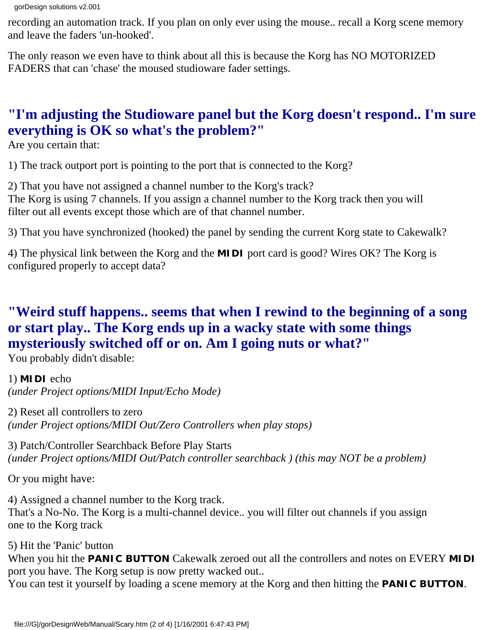recording an automation track. If you plan on only ever using the mouse.. recall a Korg scene memory and leave the faders 'un-hooked'.

The only reason we even have to think about all this is because the Korg has NO MOTORIZED FADERS that can 'chase' the moused studioware fader settings.

# **"I'm adjusting the Studioware panel but the Korg doesn't respond.. I'm sure everything is OK so what's the problem?"**

Are you certain that:

1) The track outport port is pointing to the port that is connected to the Korg?

2) That you have not assigned a channel number to the Korg's track? The Korg is using 7 channels. If you assign a channel number to the Korg track then you will filter out all events except those which are of that channel number.

3) That you have synchronized (hooked) the panel by sending the current Korg state to Cakewalk?

4) The physical link between the Korg and the **MIDI** port card is good? Wires OK? The Korg is configured properly to accept data?

# **"Weird stuff happens.. seems that when I rewind to the beginning of a song or start play.. The Korg ends up in a wacky state with some things mysteriously switched off or on. Am I going nuts or what?"**

You probably didn't disable:

### 1) **MIDI** echo

*(under Project options/MIDI Input/Echo Mode)*

2) Reset all controllers to zero *(under Project options/MIDI Out/Zero Controllers when play stops)*

3) Patch/Controller Searchback Before Play Starts *(under Project options/MIDI Out/Patch controller searchback ) (this may NOT be a problem)*

Or you might have:

4) Assigned a channel number to the Korg track. That's a No-No. The Korg is a multi-channel device.. you will filter out channels if you assign one to the Korg track

5) Hit the 'Panic' button

When you hit the **PANIC BUTTON** Cakewalk zeroed out all the controllers and notes on EVERY **MIDI** port you have. The Korg setup is now pretty wacked out..

You can test it yourself by loading a scene memory at the Korg and then hitting the **PANIC BUTTON**.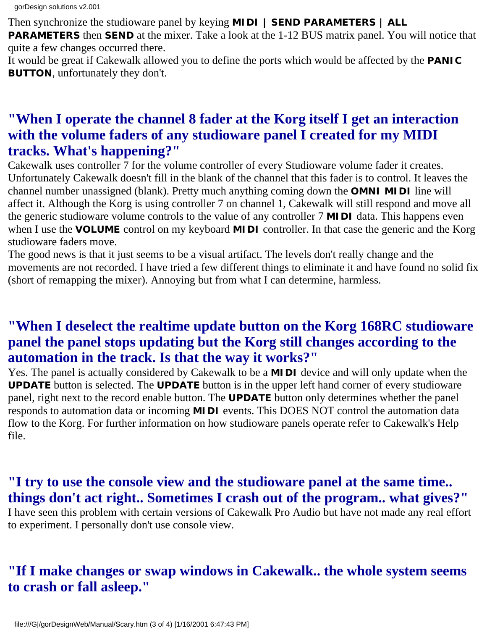Then synchronize the studioware panel by keying **MIDI | SEND PARAMETERS | ALL**

**PARAMETERS** then **SEND** at the mixer. Take a look at the 1-12 BUS matrix panel. You will notice that quite a few changes occurred there.

It would be great if Cakewalk allowed you to define the ports which would be affected by the **PANIC BUTTON**, unfortunately they don't.

### **"When I operate the channel 8 fader at the Korg itself I get an interaction with the volume faders of any studioware panel I created for my MIDI tracks. What's happening?"**

Cakewalk uses controller 7 for the volume controller of every Studioware volume fader it creates. Unfortunately Cakewalk doesn't fill in the blank of the channel that this fader is to control. It leaves the channel number unassigned (blank). Pretty much anything coming down the **OMNI MIDI** line will affect it. Although the Korg is using controller 7 on channel 1, Cakewalk will still respond and move all the generic studioware volume controls to the value of any controller 7 **MIDI** data. This happens even when I use the **VOLUME** control on my keyboard **MIDI** controller. In that case the generic and the Korg studioware faders move.

The good news is that it just seems to be a visual artifact. The levels don't really change and the movements are not recorded. I have tried a few different things to eliminate it and have found no solid fix (short of remapping the mixer). Annoying but from what I can determine, harmless.

### **"When I deselect the realtime update button on the Korg 168RC studioware panel the panel stops updating but the Korg still changes according to the automation in the track. Is that the way it works?"**

Yes. The panel is actually considered by Cakewalk to be a **MIDI** device and will only update when the **UPDATE** button is selected. The **UPDATE** button is in the upper left hand corner of every studioware panel, right next to the record enable button. The **UPDATE** button only determines whether the panel responds to automation data or incoming **MIDI** events. This DOES NOT control the automation data flow to the Korg. For further information on how studioware panels operate refer to Cakewalk's Help file.

### **"I try to use the console view and the studioware panel at the same time.. things don't act right.. Sometimes I crash out of the program.. what gives?"**

I have seen this problem with certain versions of Cakewalk Pro Audio but have not made any real effort to experiment. I personally don't use console view.

## **"If I make changes or swap windows in Cakewalk.. the whole system seems to crash or fall asleep."**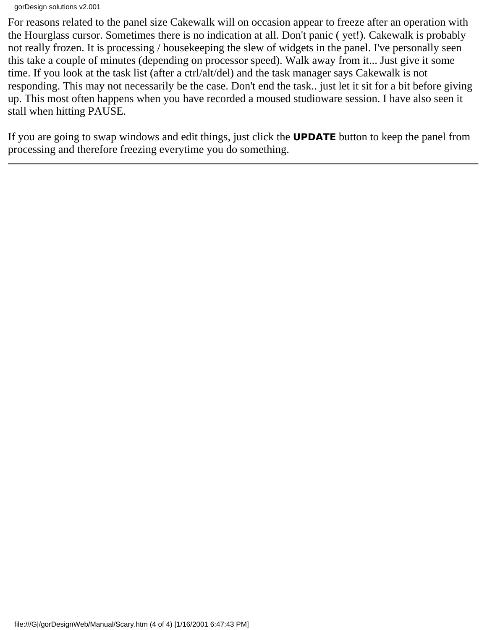For reasons related to the panel size Cakewalk will on occasion appear to freeze after an operation with the Hourglass cursor. Sometimes there is no indication at all. Don't panic ( yet!). Cakewalk is probably not really frozen. It is processing / housekeeping the slew of widgets in the panel. I've personally seen this take a couple of minutes (depending on processor speed). Walk away from it... Just give it some time. If you look at the task list (after a ctrl/alt/del) and the task manager says Cakewalk is not responding. This may not necessarily be the case. Don't end the task.. just let it sit for a bit before giving up. This most often happens when you have recorded a moused studioware session. I have also seen it stall when hitting PAUSE.

If you are going to swap windows and edit things, just click the **UPDATE** button to keep the panel from processing and therefore freezing everytime you do something.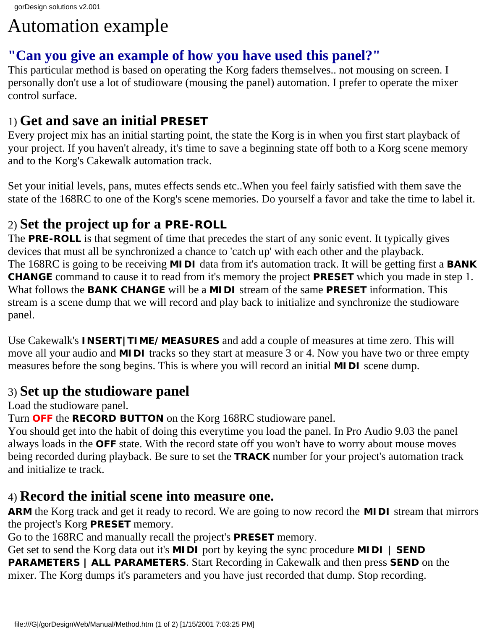# Automation example

## **"Can you give an example of how you have used this panel?"**

This particular method is based on operating the Korg faders themselves.. not mousing on screen. I personally don't use a lot of studioware (mousing the panel) automation. I prefer to operate the mixer control surface.

## 1) **Get and save an initial PRESET**

Every project mix has an initial starting point, the state the Korg is in when you first start playback of your project. If you haven't already, it's time to save a beginning state off both to a Korg scene memory and to the Korg's Cakewalk automation track.

Set your initial levels, pans, mutes effects sends etc..When you feel fairly satisfied with them save the state of the 168RC to one of the Korg's scene memories. Do yourself a favor and take the time to label it.

## 2) **Set the project up for a PRE-ROLL**

The **PRE-ROLL** is that segment of time that precedes the start of any sonic event. It typically gives devices that must all be synchronized a chance to 'catch up' with each other and the playback. The 168RC is going to be receiving **MIDI** data from it's automation track. It will be getting first a **BANK CHANGE** command to cause it to read from it's memory the project **PRESET** which you made in step 1. What follows the **BANK CHANGE** will be a **MIDI** stream of the same **PRESET** information. This stream is a scene dump that we will record and play back to initialize and synchronize the studioware panel.

Use Cakewalk's **INSERT|TIME/MEASURES** and add a couple of measures at time zero. This will move all your audio and **MIDI** tracks so they start at measure 3 or 4. Now you have two or three empty measures before the song begins. This is where you will record an initial **MIDI** scene dump.

## 3) **Set up the studioware panel**

Load the studioware panel.

Turn **OFF** the **RECORD BUTTON** on the Korg 168RC studioware panel.

You should get into the habit of doing this everytime you load the panel. In Pro Audio 9.03 the panel always loads in the **OFF** state. With the record state off you won't have to worry about mouse moves being recorded during playback. Be sure to set the **TRACK** number for your project's automation track and initialize te track.

### 4) **Record the initial scene into measure one.**

**ARM** the Korg track and get it ready to record. We are going to now record the **MIDI** stream that mirrors the project's Korg **PRESET** memory.

Go to the 168RC and manually recall the project's **PRESET** memory.

Get set to send the Korg data out it's **MIDI** port by keying the sync procedure **MIDI | SEND PARAMETERS | ALL PARAMETERS**. Start Recording in Cakewalk and then press **SEND** on the mixer. The Korg dumps it's parameters and you have just recorded that dump. Stop recording.